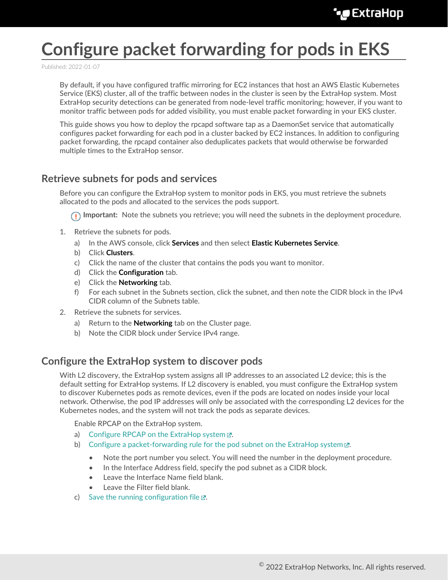# **Configure packet forwarding for pods in EKS**

Published: 2022-01-07

By default, if you have configured traffic mirroring for EC2 instances that host an AWS Elastic Kubernetes Service (EKS) cluster, all of the traffic between nodes in the cluster is seen by the ExtraHop system. Most ExtraHop security detections can be generated from node-level traffic monitoring; however, if you want to monitor traffic between pods for added visibility, you must enable packet forwarding in your EKS cluster.

This guide shows you how to deploy the rpcapd software tap as a DaemonSet service that automatically configures packet forwarding for each pod in a cluster backed by EC2 instances. In addition to configuring packet forwarding, the rpcapd container also deduplicates packets that would otherwise be forwarded multiple times to the ExtraHop sensor.

## <span id="page-0-1"></span>**Retrieve subnets for pods and services**

Before you can configure the ExtraHop system to monitor pods in EKS, you must retrieve the subnets allocated to the pods and allocated to the services the pods support.

**Important:** Note the subnets you retrieve; you will need the subnets in the deployment procedure.

- 1. Retrieve the subnets for pods.
	- a) In the AWS console, click **Services** and then select **Elastic Kubernetes Service**.
	- b) Click **Clusters**.
	- c) Click the name of the cluster that contains the pods you want to monitor.
	- d) Click the **Configuration** tab.
	- e) Click the **Networking** tab.
	- f) For each subnet in the Subnets section, click the subnet, and then note the CIDR block in the IPv4 CIDR column of the Subnets table.
- 2. Retrieve the subnets for services.
	- a) Return to the **Networking** tab on the Cluster page.
	- b) Note the CIDR block under Service IPv4 range.

# <span id="page-0-0"></span>**Configure the ExtraHop system to discover pods**

With L2 discovery, the ExtraHop system assigns all IP addresses to an associated L2 device; this is the default setting for ExtraHop systems. If L2 discovery is enabled, you must configure the ExtraHop system to discover Kubernetes pods as remote devices, even if the pods are located on nodes inside your local network. Otherwise, the pod IP addresses will only be associated with the corresponding L2 devices for the Kubernetes nodes, and the system will not track the pods as separate devices.

Enable RPCAP on the ExtraHop system.

- a) Configure RPCAP on the ExtraHop system  $\mathbb{Z}$ .
- b) [Configure a packet-forwarding rule for the pod subnet on the ExtraHop system](https://docs.extrahop.com/8.7/rpcap-eta/#configure-packet-forwarding-rules-on-the-extrahop-system)  $\mathbb{E}$ .
	- Note the port number you select. You will need the number in the deployment procedure.
	- In the Interface Address field, specify the pod subnet as a CIDR block.
	- Leave the Interface Name field blank.
	- Leave the Filter field blank.
- c) [Save the running configuration file](https://docs.extrahop.com/8.7/rpcap-eta/#save-the-running-configuration-file)  $\mathbb{Z}$ .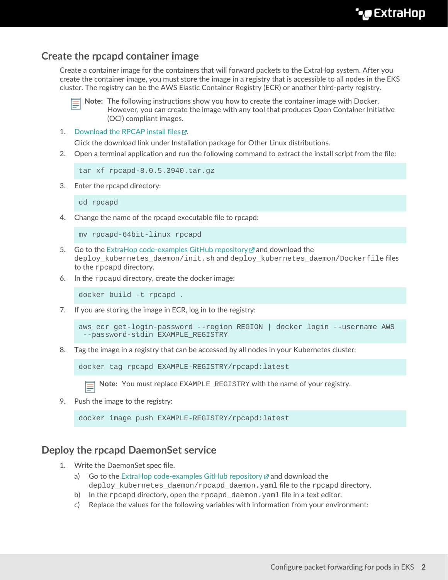# <span id="page-1-0"></span>**Create the rpcapd container image**

Create a container image for the containers that will forward packets to the ExtraHop system. After you create the container image, you must store the image in a registry that is accessible to all nodes in the EKS cluster. The registry can be the AWS Elastic Container Registry (ECR) or another third-party registry.



**Note:** The following instructions show you how to create the container image with Docker. However, you can create the image with any tool that produces Open Container Initiative (OCI) compliant images.

1. Download the RPCAP install files E.

Click the download link under Installation package for Other Linux distributions.

2. Open a terminal application and run the following command to extract the install script from the file:

```
tar xf rpcapd-8.0.5.3940.tar.gz
```
3. Enter the rpcapd directory:

cd rpcapd

4. Change the name of the rpcapd executable file to rpcapd:

```
mv rpcapd-64bit-linux rpcapd
```
- 5. Go to the [ExtraHop code-examples GitHub repository](https://github.com/ExtraHop/code-examples/tree/main/deploy_kubernetes_daemon)  $\mathbb Z$  and download the deploy kubernetes daemon/init.sh and deploy kubernetes daemon/Dockerfile files to the rpcapd directory.
- 6. In the rpcapd directory, create the docker image:

docker build -t rpcapd .

7. If you are storing the image in ECR, log in to the registry:

```
aws ecr get-login-password --region REGION | docker login --username AWS
  --password-stdin EXAMPLE_REGISTRY
```
8. Tag the image in a registry that can be accessed by all nodes in your Kubernetes cluster:

docker tag rpcapd EXAMPLE-REGISTRY/rpcapd:latest

**Note:** You must replace EXAMPLE\_REGISTRY with the name of your registry.

9. Push the image to the registry:

docker image push EXAMPLE-REGISTRY/rpcapd:latest

## **Deploy the rpcapd DaemonSet service**

- 1. Write the DaemonSet spec file.
	- a) Go to the [ExtraHop code-examples GitHub repository](https://github.com/ExtraHop/code-examples/tree/main/deploy_kubernetes_daemon)  $\mathbb Z$  and download the deploy\_kubernetes\_daemon/rpcapd\_daemon.yaml file to the rpcapd directory.
	- b) In the rpcapd directory, open the rpcapd\_daemon. yaml file in a text editor.
	- c) Replace the values for the following variables with information from your environment: